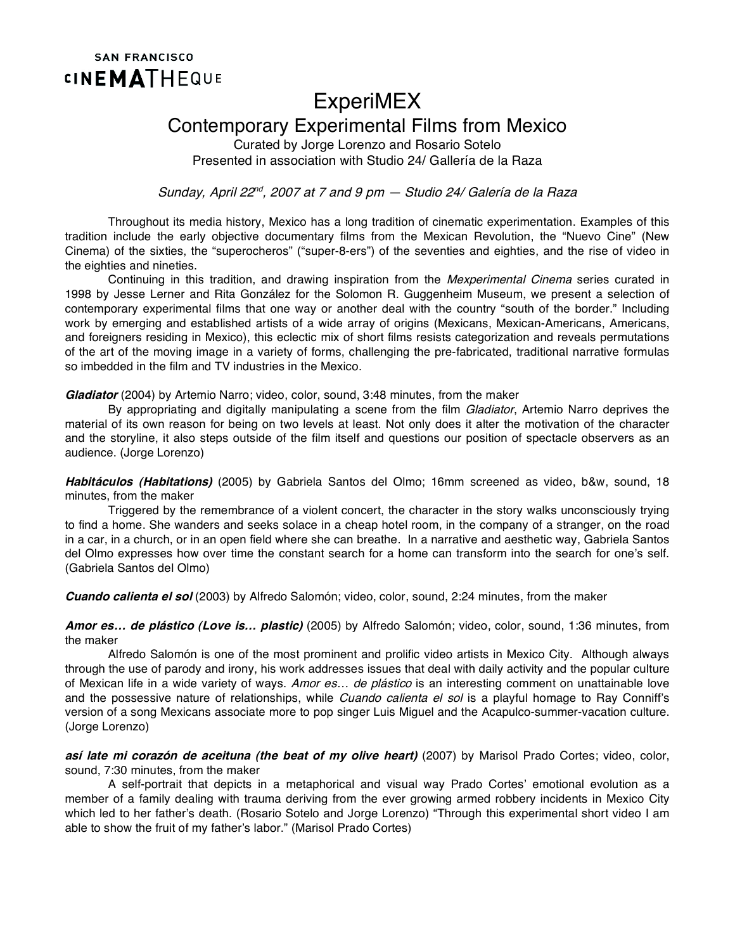## **SAN FRANCISCO CINEMATHEQUE**

## ExperiMEX

## Contemporary Experimental Films from Mexico

Curated by Jorge Lorenzo and Rosario Sotelo Presented in association with Studio 24/ Gallería de la Raza

Sunday, April 22<sup>nd</sup>, 2007 at 7 and 9 pm  $-$  Studio 24/ Galería de la Raza

Throughout its media history, Mexico has a long tradition of cinematic experimentation. Examples of this tradition include the early objective documentary films from the Mexican Revolution, the "Nuevo Cine" (New Cinema) of the sixties, the "superocheros" ("super-8-ers") of the seventies and eighties, and the rise of video in the eighties and nineties.

Continuing in this tradition, and drawing inspiration from the *Mexperimental Cinema* series curated in 1998 by Jesse Lerner and Rita González for the Solomon R. Guggenheim Museum, we present a selection of contemporary experimental films that one way or another deal with the country "south of the border." Including work by emerging and established artists of a wide array of origins (Mexicans, Mexican-Americans, Americans, and foreigners residing in Mexico), this eclectic mix of short films resists categorization and reveals permutations of the art of the moving image in a variety of forms, challenging the pre-fabricated, traditional narrative formulas so imbedded in the film and TV industries in the Mexico.

**Gladiator** (2004) by Artemio Narro; video, color, sound, 3:48 minutes, from the maker

By appropriating and digitally manipulating a scene from the film Gladiator, Artemio Narro deprives the material of its own reason for being on two levels at least. Not only does it alter the motivation of the character and the storyline, it also steps outside of the film itself and questions our position of spectacle observers as an audience. (Jorge Lorenzo)

**Habitáculos (Habitations)** (2005) by Gabriela Santos del Olmo; 16mm screened as video, b&w, sound, 18 minutes, from the maker

Triggered by the remembrance of a violent concert, the character in the story walks unconsciously trying to find a home. She wanders and seeks solace in a cheap hotel room, in the company of a stranger, on the road in a car, in a church, or in an open field where she can breathe. In a narrative and aesthetic way, Gabriela Santos del Olmo expresses how over time the constant search for a home can transform into the search for one's self. (Gabriela Santos del Olmo)

**Cuando calienta el sol** (2003) by Alfredo Salomón; video, color, sound, 2:24 minutes, from the maker

**Amor es… de plástico (Love is… plastic)** (2005) by Alfredo Salomón; video, color, sound, 1:36 minutes, from the maker

Alfredo Salomón is one of the most prominent and prolific video artists in Mexico City. Although always through the use of parody and irony, his work addresses issues that deal with daily activity and the popular culture of Mexican life in a wide variety of ways. Amor es... de plástico is an interesting comment on unattainable love and the possessive nature of relationships, while *Cuando calienta el sol* is a playful homage to Ray Conniff's version of a song Mexicans associate more to pop singer Luis Miguel and the Acapulco-summer-vacation culture. (Jorge Lorenzo)

**así late mi corazón de aceituna (the beat of my olive heart)** (2007) by Marisol Prado Cortes; video, color, sound, 7:30 minutes, from the maker

A self-portrait that depicts in a metaphorical and visual way Prado Cortes' emotional evolution as a member of a family dealing with trauma deriving from the ever growing armed robbery incidents in Mexico City which led to her father's death. (Rosario Sotelo and Jorge Lorenzo) "Through this experimental short video I am able to show the fruit of my father's labor." (Marisol Prado Cortes)